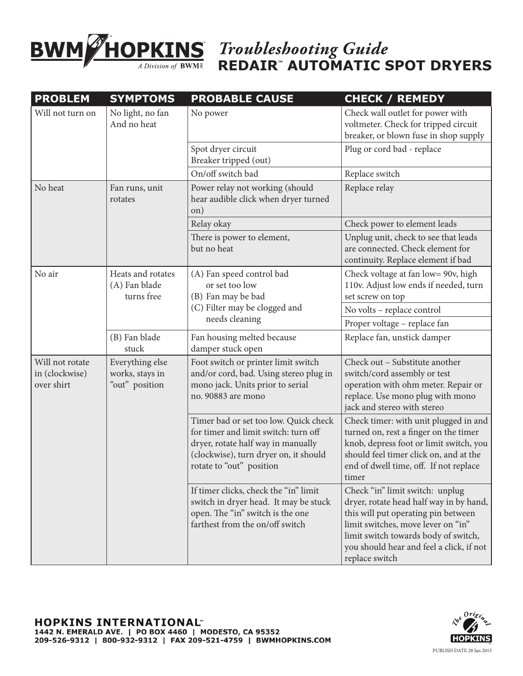

*Troubleshooting Guide* **REDAIR™ AUTOMATIC SPOT DRYERS**

| <b>PROBLEM</b>                                  | <b>SYMPTOMS</b>                                      | <b>PROBABLE CAUSE</b>                                                                                                                                                                    | <b>CHECK / REMEDY</b>                                                                                                                                                                                                                                         |
|-------------------------------------------------|------------------------------------------------------|------------------------------------------------------------------------------------------------------------------------------------------------------------------------------------------|---------------------------------------------------------------------------------------------------------------------------------------------------------------------------------------------------------------------------------------------------------------|
| Will not turn on                                | No light, no fan<br>And no heat                      | No power                                                                                                                                                                                 | Check wall outlet for power with<br>voltmeter. Check for tripped circuit<br>breaker, or blown fuse in shop supply                                                                                                                                             |
|                                                 |                                                      | Spot dryer circuit<br>Breaker tripped (out)                                                                                                                                              | Plug or cord bad - replace                                                                                                                                                                                                                                    |
|                                                 |                                                      | On/off switch bad                                                                                                                                                                        | Replace switch                                                                                                                                                                                                                                                |
| No heat                                         | Fan runs, unit<br>rotates                            | Power relay not working (should<br>hear audible click when dryer turned<br>on)                                                                                                           | Replace relay                                                                                                                                                                                                                                                 |
|                                                 |                                                      | Relay okay                                                                                                                                                                               | Check power to element leads                                                                                                                                                                                                                                  |
|                                                 |                                                      | There is power to element,<br>but no heat                                                                                                                                                | Unplug unit, check to see that leads<br>are connected. Check element for<br>continuity. Replace element if bad                                                                                                                                                |
| No air                                          | Heats and rotates<br>(A) Fan blade<br>turns free     | (A) Fan speed control bad<br>or set too low<br>(B) Fan may be bad<br>(C) Filter may be clogged and<br>needs cleaning                                                                     | Check voltage at fan low= 90v, high<br>110v. Adjust low ends if needed, turn<br>set screw on top                                                                                                                                                              |
|                                                 |                                                      |                                                                                                                                                                                          | No volts - replace control                                                                                                                                                                                                                                    |
|                                                 |                                                      |                                                                                                                                                                                          | Proper voltage - replace fan                                                                                                                                                                                                                                  |
|                                                 | (B) Fan blade<br>stuck                               | Fan housing melted because<br>damper stuck open                                                                                                                                          | Replace fan, unstick damper                                                                                                                                                                                                                                   |
| Will not rotate<br>in (clockwise)<br>over shirt | Everything else<br>works, stays in<br>"out" position | Foot switch or printer limit switch<br>and/or cord, bad. Using stereo plug in<br>mono jack. Units prior to serial<br>no. 90883 are mono                                                  | Check out - Substitute another<br>switch/cord assembly or test<br>operation with ohm meter. Repair or<br>replace. Use mono plug with mono<br>jack and stereo with stereo                                                                                      |
|                                                 |                                                      | Timer bad or set too low. Quick check<br>for timer and limit switch: turn off<br>dryer, rotate half way in manually<br>(clockwise), turn dryer on, it should<br>rotate to "out" position | Check timer: with unit plugged in and<br>turned on, rest a finger on the timer<br>knob, depress foot or limit switch, you<br>should feel timer click on, and at the<br>end of dwell time, off. If not replace<br>timer                                        |
|                                                 |                                                      | If timer clicks, check the "in" limit<br>switch in dryer head. It may be stuck<br>open. The "in" switch is the one<br>farthest from the on/off switch                                    | Check "in" limit switch: unplug<br>dryer, rotate head half way in by hand,<br>this will put operating pin between<br>limit switches, move lever on "in"<br>limit switch towards body of switch,<br>you should hear and feel a click, if not<br>replace switch |